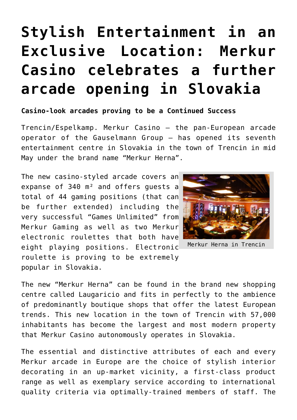## **[Stylish Entertainment in an](https://www.isa-guide.de/english-news/articles/25717.html) [Exclusive Location: Merkur](https://www.isa-guide.de/english-news/articles/25717.html) [Casino celebrates a further](https://www.isa-guide.de/english-news/articles/25717.html) [arcade opening in Slovakia](https://www.isa-guide.de/english-news/articles/25717.html)**

## **Casino-look arcades proving to be a Continued Success**

Trencin/Espelkamp. Merkur Casino – the pan-European arcade operator of the Gauselmann Group – has opened its seventh entertainment centre in Slovakia in the town of Trencin in mid May under the brand name "Merkur Herna".

The new casino-styled arcade covers an expanse of 340 m² and offers guests a total of 44 gaming positions (that can be further extended) including the very successful "Games Unlimited" from Merkur Gaming as well as two Merkur electronic roulettes that both have eight playing positions. Electronic roulette is proving to be extremely popular in Slovakia.



Merkur Herna in Trencin

The new "Merkur Herna" can be found in the brand new shopping centre called Laugaricio and fits in perfectly to the ambience of predominantly boutique shops that offer the latest European trends. This new location in the town of Trencin with 57,000 inhabitants has become the largest and most modern property that Merkur Casino autonomously operates in Slovakia.

The essential and distinctive attributes of each and every Merkur arcade in Europe are the choice of stylish interior decorating in an up-market vicinity, a first-class product range as well as exemplary service according to international quality criteria via optimally-trained members of staff. The